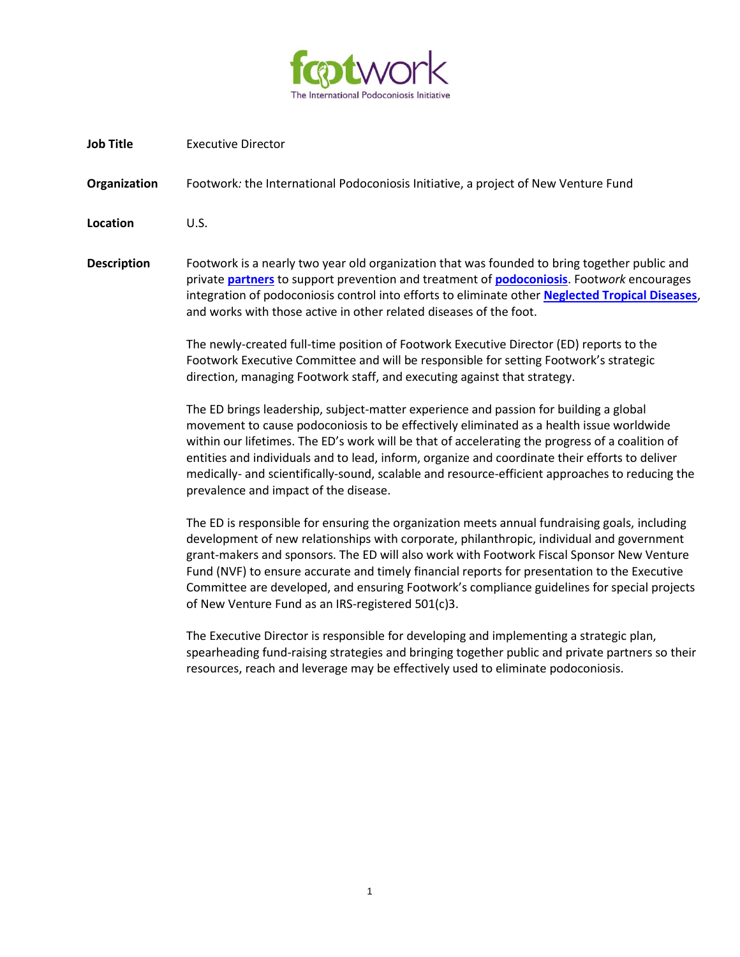

**Job Title** Executive Director

**Organization** Footwork*:* the International Podoconiosis Initiative, a project of New Venture Fund

**Location** U.S.

**Description** Footwork is a nearly two year old organization that was founded to bring together public and private **[partners](http://www.podo.org/about-footwork/)** to support prevention and treatment of **[podoconiosis](http://www.podo.org/about-podoconiosis/)**. Foot*work* encourages integration of podoconiosis control into efforts to eliminate other **[Neglected Tropical Diseases](http://www.who.int/neglected_diseases/diseases/podoconiosis/en/)**, and works with those active in other related diseases of the foot.

> The newly-created full-time position of Footwork Executive Director (ED) reports to the Footwork Executive Committee and will be responsible for setting Footwork's strategic direction, managing Footwork staff, and executing against that strategy.

The ED brings leadership, subject-matter experience and passion for building a global movement to cause podoconiosis to be effectively eliminated as a health issue worldwide within our lifetimes. The ED's work will be that of accelerating the progress of a coalition of entities and individuals and to lead, inform, organize and coordinate their efforts to deliver medically- and scientifically-sound, scalable and resource-efficient approaches to reducing the prevalence and impact of the disease.

The ED is responsible for ensuring the organization meets annual fundraising goals, including development of new relationships with corporate, philanthropic, individual and government grant-makers and sponsors. The ED will also work with Footwork Fiscal Sponsor New Venture Fund (NVF) to ensure accurate and timely financial reports for presentation to the Executive Committee are developed, and ensuring Footwork's compliance guidelines for special projects of New Venture Fund as an IRS-registered 501(c)3.

The Executive Director is responsible for developing and implementing a strategic plan, spearheading fund-raising strategies and bringing together public and private partners so their resources, reach and leverage may be effectively used to eliminate podoconiosis.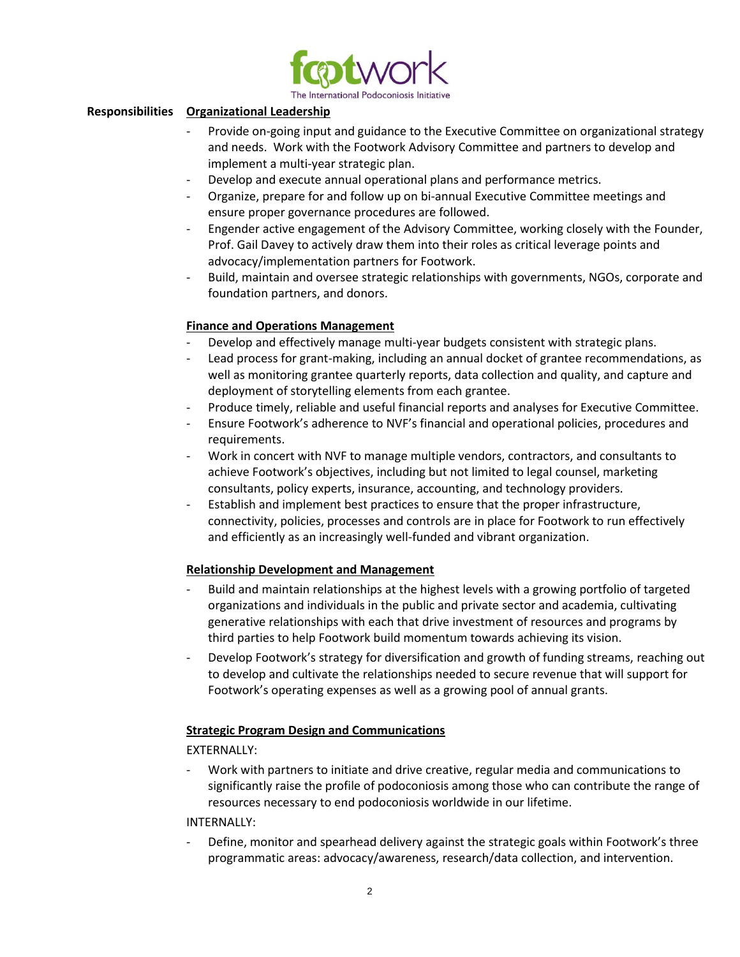

## **Responsibilities Organizational Leadership**

- Provide on-going input and guidance to the Executive Committee on organizational strategy and needs. Work with the Footwork Advisory Committee and partners to develop and implement a multi-year strategic plan.
- Develop and execute annual operational plans and performance metrics.
- Organize, prepare for and follow up on bi-annual Executive Committee meetings and ensure proper governance procedures are followed.
- Engender active engagement of the Advisory Committee, working closely with the Founder, Prof. Gail Davey to actively draw them into their roles as critical leverage points and advocacy/implementation partners for Footwork.
- Build, maintain and oversee strategic relationships with governments, NGOs, corporate and foundation partners, and donors.

## **Finance and Operations Management**

- Develop and effectively manage multi-year budgets consistent with strategic plans.
- Lead process for grant-making, including an annual docket of grantee recommendations, as well as monitoring grantee quarterly reports, data collection and quality, and capture and deployment of storytelling elements from each grantee.
- Produce timely, reliable and useful financial reports and analyses for Executive Committee.
- Ensure Footwork's adherence to NVF's financial and operational policies, procedures and requirements.
- Work in concert with NVF to manage multiple vendors, contractors, and consultants to achieve Footwork's objectives, including but not limited to legal counsel, marketing consultants, policy experts, insurance, accounting, and technology providers.
- Establish and implement best practices to ensure that the proper infrastructure, connectivity, policies, processes and controls are in place for Footwork to run effectively and efficiently as an increasingly well-funded and vibrant organization.

#### **Relationship Development and Management**

- Build and maintain relationships at the highest levels with a growing portfolio of targeted organizations and individuals in the public and private sector and academia, cultivating generative relationships with each that drive investment of resources and programs by third parties to help Footwork build momentum towards achieving its vision.
- Develop Footwork's strategy for diversification and growth of funding streams, reaching out to develop and cultivate the relationships needed to secure revenue that will support for Footwork's operating expenses as well as a growing pool of annual grants.

#### **Strategic Program Design and Communications**

EXTERNALLY:

Work with partners to initiate and drive creative, regular media and communications to significantly raise the profile of podoconiosis among those who can contribute the range of resources necessary to end podoconiosis worldwide in our lifetime.

INTERNALLY:

Define, monitor and spearhead delivery against the strategic goals within Footwork's three programmatic areas: advocacy/awareness, research/data collection, and intervention.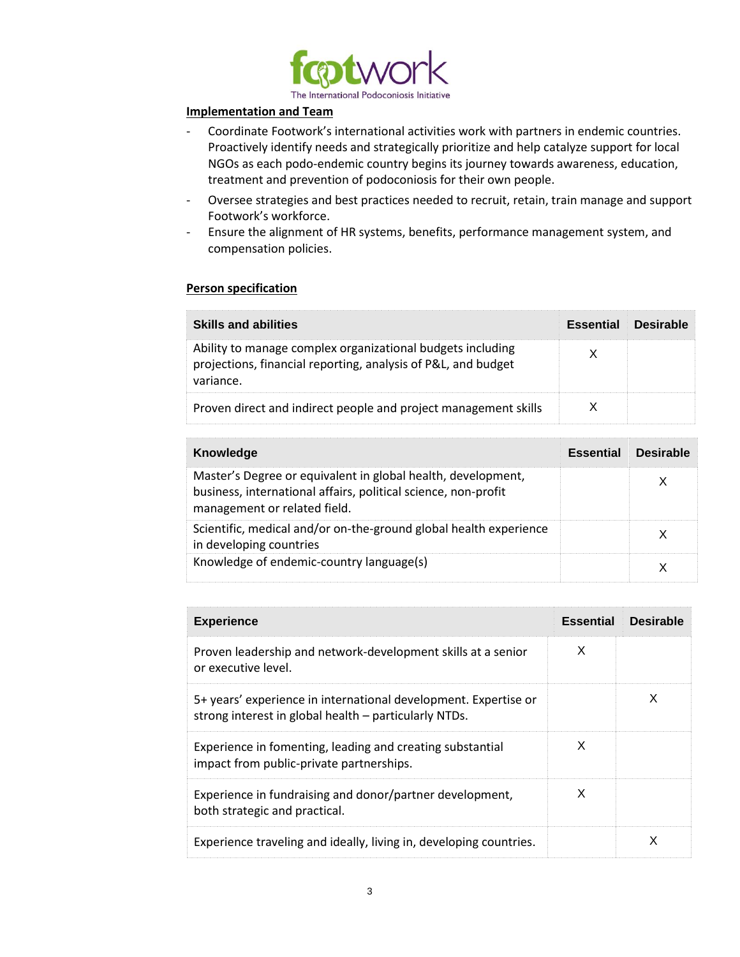

## **Implementation and Team**

- Coordinate Footwork's international activities work with partners in endemic countries. Proactively identify needs and strategically prioritize and help catalyze support for local NGOs as each podo-endemic country begins its journey towards awareness, education, treatment and prevention of podoconiosis for their own people.
- Oversee strategies and best practices needed to recruit, retain, train manage and support Footwork's workforce.
- Ensure the alignment of HR systems, benefits, performance management system, and compensation policies.

# **Person specification**

| <b>Skills and abilities</b>                                                                                                              | <b>Essential</b> | <b>Desirable</b> |
|------------------------------------------------------------------------------------------------------------------------------------------|------------------|------------------|
| Ability to manage complex organizational budgets including<br>projections, financial reporting, analysis of P&L, and budget<br>variance. |                  |                  |
| Proven direct and indirect people and project management skills                                                                          |                  |                  |

| Knowledge                                                                                                                                                      | <b>Essential</b> | Desirable |
|----------------------------------------------------------------------------------------------------------------------------------------------------------------|------------------|-----------|
| Master's Degree or equivalent in global health, development,<br>business, international affairs, political science, non-profit<br>management or related field. |                  |           |
| Scientific, medical and/or on-the-ground global health experience<br>in developing countries                                                                   |                  |           |
| Knowledge of endemic-country language(s)                                                                                                                       |                  |           |

| <b>Experience</b>                                                                                                        | <b>Essential</b> | <b>Desirable</b> |
|--------------------------------------------------------------------------------------------------------------------------|------------------|------------------|
| Proven leadership and network-development skills at a senior<br>or executive level.                                      | X                |                  |
| 5+ years' experience in international development. Expertise or<br>strong interest in global health - particularly NTDs. |                  | X                |
| Experience in fomenting, leading and creating substantial<br>impact from public-private partnerships.                    | X                |                  |
| Experience in fundraising and donor/partner development,<br>both strategic and practical.                                | X                |                  |
| Experience traveling and ideally, living in, developing countries.                                                       |                  | x                |